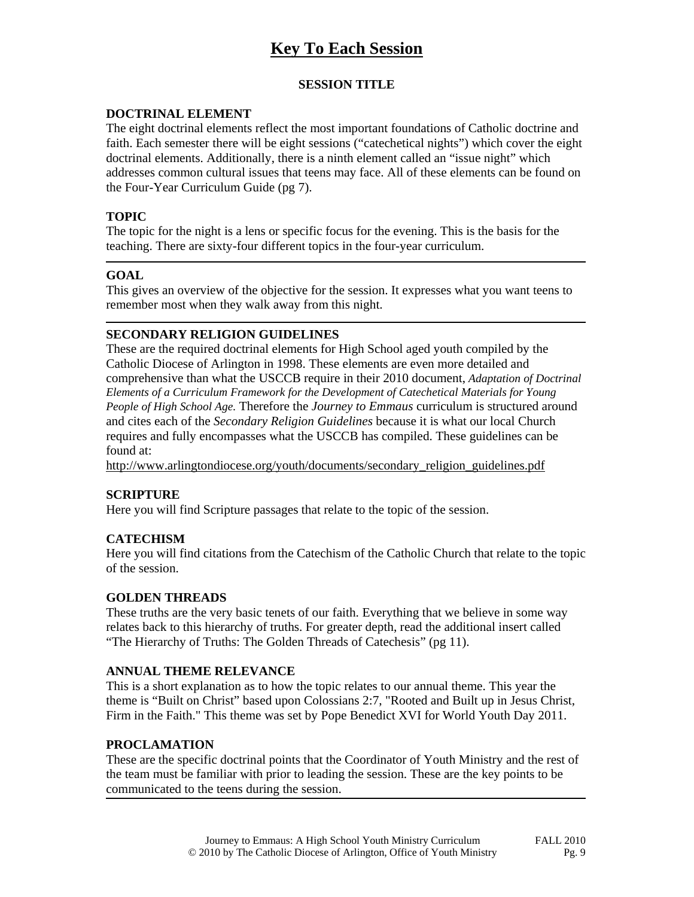# **Key To Each Session**

## **SESSION TITLE**

#### **DOCTRINAL ELEMENT**

The eight doctrinal elements reflect the most important foundations of Catholic doctrine and faith. Each semester there will be eight sessions ("catechetical nights") which cover the eight doctrinal elements. Additionally, there is a ninth element called an "issue night" which addresses common cultural issues that teens may face. All of these elements can be found on the Four-Year Curriculum Guide (pg 7).

#### **TOPIC**

The topic for the night is a lens or specific focus for the evening. This is the basis for the teaching. There are sixty-four different topics in the four-year curriculum.

#### **GOAL**

This gives an overview of the objective for the session. It expresses what you want teens to remember most when they walk away from this night.

#### **SECONDARY RELIGION GUIDELINES**

These are the required doctrinal elements for High School aged youth compiled by the Catholic Diocese of Arlington in 1998. These elements are even more detailed and comprehensive than what the USCCB require in their 2010 document, *Adaptation of Doctrinal Elements of a Curriculum Framework for the Development of Catechetical Materials for Young People of High School Age.* Therefore the *Journey to Emmaus* curriculum is structured around and cites each of the *Secondary Religion Guidelines* because it is what our local Church requires and fully encompasses what the USCCB has compiled. These guidelines can be found at:

http://www.arlingtondiocese.org/youth/documents/secondary\_religion\_guidelines.pdf

## **SCRIPTURE**

Here you will find Scripture passages that relate to the topic of the session.

## **CATECHISM**

Here you will find citations from the Catechism of the Catholic Church that relate to the topic of the session.

#### **GOLDEN THREADS**

These truths are the very basic tenets of our faith. Everything that we believe in some way relates back to this hierarchy of truths. For greater depth, read the additional insert called "The Hierarchy of Truths: The Golden Threads of Catechesis" (pg 11).

#### **ANNUAL THEME RELEVANCE**

This is a short explanation as to how the topic relates to our annual theme. This year the theme is "Built on Christ" based upon Colossians 2:7, "Rooted and Built up in Jesus Christ, Firm in the Faith." This theme was set by Pope Benedict XVI for World Youth Day 2011.

#### **PROCLAMATION**

These are the specific doctrinal points that the Coordinator of Youth Ministry and the rest of the team must be familiar with prior to leading the session. These are the key points to be communicated to the teens during the session.